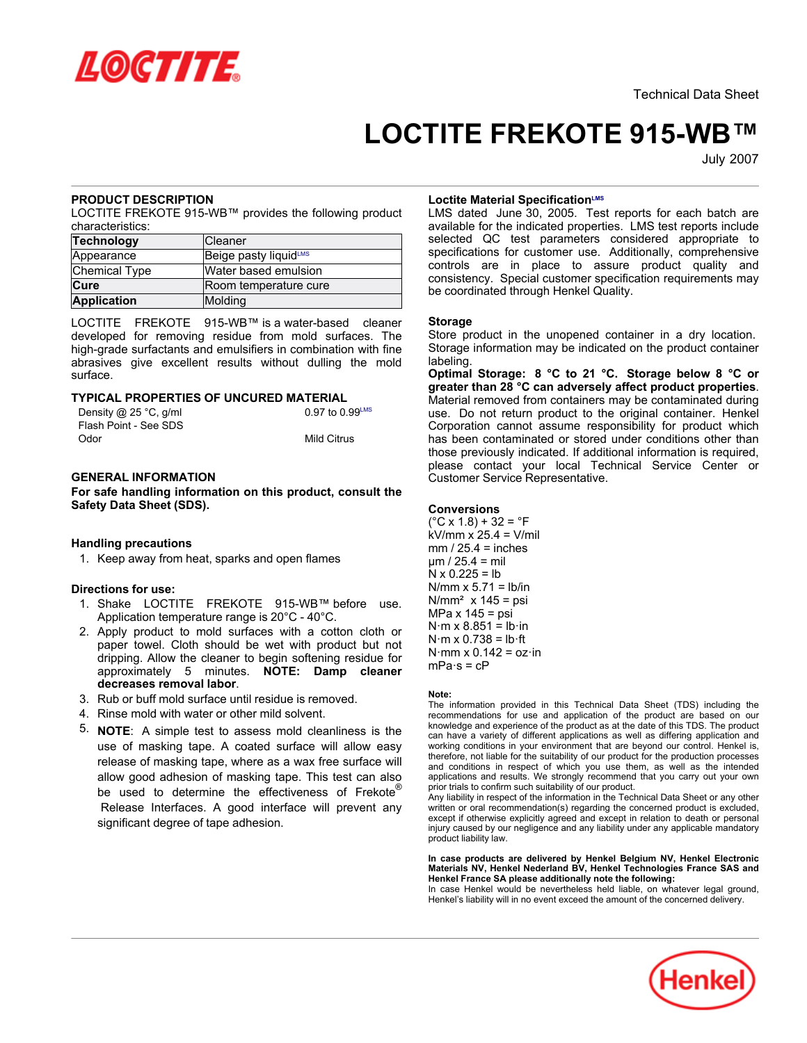

# **LOCTITE FREKOTE 915-WB™**

July-2007

# **PRODUCT DESCRIPTION**

LOCTITE FREKOTE 915-WB™ provides the following product characteristics:

| Technology         | <b>Cleaner</b>        |
|--------------------|-----------------------|
| Appearance         | Beige pasty liquidLMS |
| Chemical Type      | Water based emulsion  |
| <b>Cure</b>        | Room temperature cure |
| <b>Application</b> | Molding               |

LOCTITE FREKOTE 915-WB™ is a water-based cleaner developed for removing residue from mold surfaces. The high-grade surfactants and emulsifiers in combination with fine abrasives give excellent results without dulling the mold surface.

## **TYPICAL PROPERTIES OF UNCURED MATERIAL**

| Density @ 25 °C, g/ml | $0.97$ to $0.99^{\text{LMS}}$ |
|-----------------------|-------------------------------|
| Flash Point - See SDS |                               |
| Odor                  | <b>Mild Citrus</b>            |

## **GENERAL INFORMATION**

**For safe handling information on this product, consult the Safety Data Sheet (SDS).**

## **Handling precautions**

1. Keep away from heat, sparks and open flames

# **Directions for use:**

- 1. Shake LOCTITE FREKOTE 915-WB™ before use. Application temperature range is 20°C - 40°C.
- 2. Apply product to mold surfaces with a cotton cloth or paper towel. Cloth should be wet with product but not dripping. Allow the cleaner to begin softening residue for approximately 5 minutes. **NOTE: Damp cleaner decreases removal labor**.
- 3. Rub or buff mold surface until residue is removed.
- 4. Rinse mold with water or other mild solvent.
- 5. **NOTE**: A simple test to assess mold cleanliness is the use of masking tape. A coated surface will allow easy release of masking tape, where as a wax free surface will allow good adhesion of masking tape. This test can also be used to determine the effectiveness of Frekote<sup>®</sup> Release Interfaces. A good interface will prevent any significant degree of tape adhesion.

### **Loctite Material SpecificationLMS**

LMS dated June 30, 2005. Test reports for each batch are available for the indicated properties. LMS test reports include selected QC test parameters considered appropriate to specifications for customer use. Additionally, comprehensive controls are in place to assure product quality and consistency. Special customer specification requirements may be coordinated through Henkel Quality.

### **Storage**

Store product in the unopened container in a dry location. Storage information may be indicated on the product container labeling.

**Optimal Storage: 8 °C to 21 °C. Storage below 8 °C or greater than 28 °C can adversely affect product properties**. Material removed from containers may be contaminated during use. Do not return product to the original container. Henkel Corporation cannot assume responsibility for product which has been contaminated or stored under conditions other than those previously indicated. If additional information is required, please contact your local Technical Service Center or Customer Service Representative.

### **Conversions**

 $(^{\circ}C$  x 1.8) + 32 =  $^{\circ}F$ kV/mm x 25.4 = V/mil  $mm / 25.4 = inches$  $\mu$ m / 25.4 = mil  $N \times 0.225 = lb$  $N/mm \times 5.71 = lb/in$  $N/mm<sup>2</sup>$  x 145 = psi MPa x 145 = psi  $N·m \times 8.851 = lb·in$  $N·m \times 0.738 = lb·ft$  $N·mm \times 0.142 = oz·in$  $mPa·s = cP$ 

#### **Note:**

The information provided in this Technical Data Sheet (TDS) including the recommendations for use and application of the product are based on our knowledge and experience of the product as at the date of this TDS. The product can have a variety of different applications as well as differing application and working conditions in your environment that are beyond our control. Henkel is, therefore, not liable for the suitability of our product for the production processes and conditions in respect of which you use them, as well as the intended applications and results. We strongly recommend that you carry out your own prior trials to confirm such suitability of our product.

Any liability in respect of the information in the Technical Data Sheet or any other written or oral recommendation(s) regarding the concerned product is excluded, except if otherwise explicitly agreed and except in relation to death or personal injury caused by our negligence and any liability under any applicable mandatory product liability law.

#### **In case products are delivered by Henkel Belgium NV, Henkel Electronic Materials NV, Henkel Nederland BV, Henkel Technologies France SAS and Henkel France SA please additionally note the following:**

In case Henkel would be nevertheless held liable, on whatever legal ground, Henkel's liability will in no event exceed the amount of the concerned delivery.